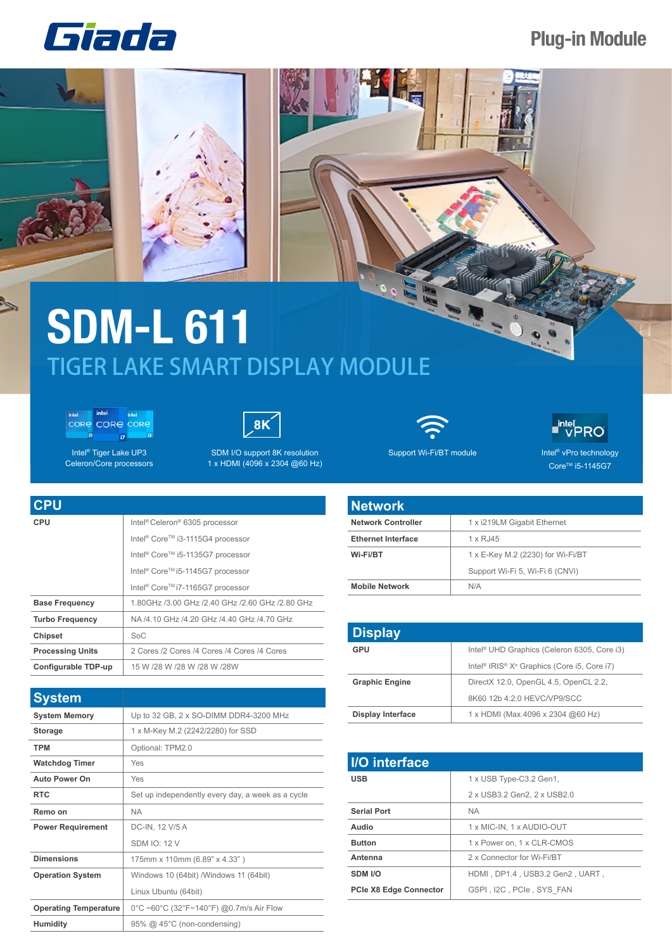

## **Plug-in Module**

## **SDM-L 611** TIGER LAKE SMART DISPLAY MODULE

intel. intel CORE CORE CORE **is**  $\overline{u}$ 

Intel<sup>®</sup> Tiger Lake UP3 Celeron/Core processors



SDM I/O support 8K resolution 1 x HDMI (4096 x 2304 @60 Hz)



Support Wi-Fi/BT module Intel® vPro technology



Core<sup>™</sup> i5-1145G7

| <b>CPU</b>              |                                                          |
|-------------------------|----------------------------------------------------------|
| CPU                     | Intel <sup>®</sup> Celeron <sup>®</sup> 6305 processor   |
|                         | Intel <sup>®</sup> Core <sup>™</sup> i3-1115G4 processor |
|                         | Intel <sup>®</sup> Core™ i5-1135G7 processor             |
|                         | Intel <sup>®</sup> Core <sup>™</sup> i5-1145G7 processor |
|                         | Intel <sup>®</sup> Core <sup>™</sup> i7-1165G7 processor |
| <b>Base Frequency</b>   | 1.80GHz /3.00 GHz /2.40 GHz /2.60 GHz /2.80 GHz          |
| <b>Turbo Frequency</b>  | NA /4.10 GHz /4.20 GHz /4.40 GHz /4.70 GHz               |
| <b>Chipset</b>          | SoC                                                      |
| <b>Processing Units</b> | 2 Cores /2 Cores /4 Cores /4 Cores /4 Cores              |
| Configurable TDP-up     | 15 W /28 W /28 W /28 W /28W                              |

| <b>System</b>                |                                                   |
|------------------------------|---------------------------------------------------|
| <b>System Memory</b>         | Up to 32 GB, 2 x SO-DIMM DDR4-3200 MHz            |
| <b>Storage</b>               | 1 x M-Key M.2 (2242/2280) for SSD                 |
| <b>TPM</b>                   | Optional: TPM2.0                                  |
| <b>Watchdog Timer</b>        | Yes                                               |
| <b>Auto Power On</b>         | Yes                                               |
| <b>RTC</b>                   | Set up independently every day, a week as a cycle |
| Remo on                      | <b>NA</b>                                         |
| <b>Power Requirement</b>     | DC-IN, 12 V/5 A                                   |
|                              | <b>SDM IO: 12 V</b>                               |
| <b>Dimensions</b>            | 175mm x 110mm (6.89" x 4.33")                     |
| <b>Operation System</b>      | Windows 10 (64bit) / Windows 11 (64bit)           |
|                              | Linux Ubuntu (64bit)                              |
| <b>Operating Temperature</b> | 0°C ~60°C (32°F~140°F) @0.7m/s Air Flow           |
| <b>Humidity</b>              | 95% @ 45°C (non-condensing)                       |

| <b>Network</b>            |                                   |
|---------------------------|-----------------------------------|
| <b>Network Controller</b> | 1 x i219LM Gigabit Ethernet       |
| <b>Ethernet Interface</b> | 1 x RJ45                          |
| Wi-Fi/BT                  | 1 x E-Key M.2 (2230) for Wi-Fi/BT |
|                           | Support Wi-Fi 5, Wi-Fi 6 (CNVi)   |
| <b>Mobile Network</b>     | N/A                               |

| <b>Display</b>           |                                                                                 |
|--------------------------|---------------------------------------------------------------------------------|
| GPU                      | Intel <sup>®</sup> UHD Graphics (Celeron 6305, Core i3)                         |
|                          | Intel <sup>®</sup> IRIS <sup>®</sup> X <sup>e</sup> Graphics (Core i5, Core i7) |
| <b>Graphic Engine</b>    | DirectX 12.0, OpenGL 4.5, OpenCL 2.2,                                           |
|                          | 8K60 12b 4:2:0 HEVC/VP9/SCC                                                     |
| <b>Display Interface</b> | 1 x HDMI (Max.4096 x 2304 @60 Hz)                                               |

| <b>I/O</b> interface          |                                 |
|-------------------------------|---------------------------------|
| <b>USB</b>                    | 1 x USB Type-C3.2 Gen1,         |
|                               | 2 x USB3.2 Gen2, 2 x USB2.0     |
| <b>Serial Port</b>            | <b>NA</b>                       |
| Audio                         | 1 x MIC-IN, 1 x AUDIO-OUT       |
| <b>Button</b>                 | 1 x Power on, 1 x CLR-CMOS      |
| Antenna                       | 2 x Connector for Wi-Fi/BT      |
| SDM I/O                       | HDMI. DP1.4. USB3.2 Gen2. UART. |
| <b>PCIe X8 Edge Connector</b> | GSPI, I2C, PCIe, SYS FAN        |